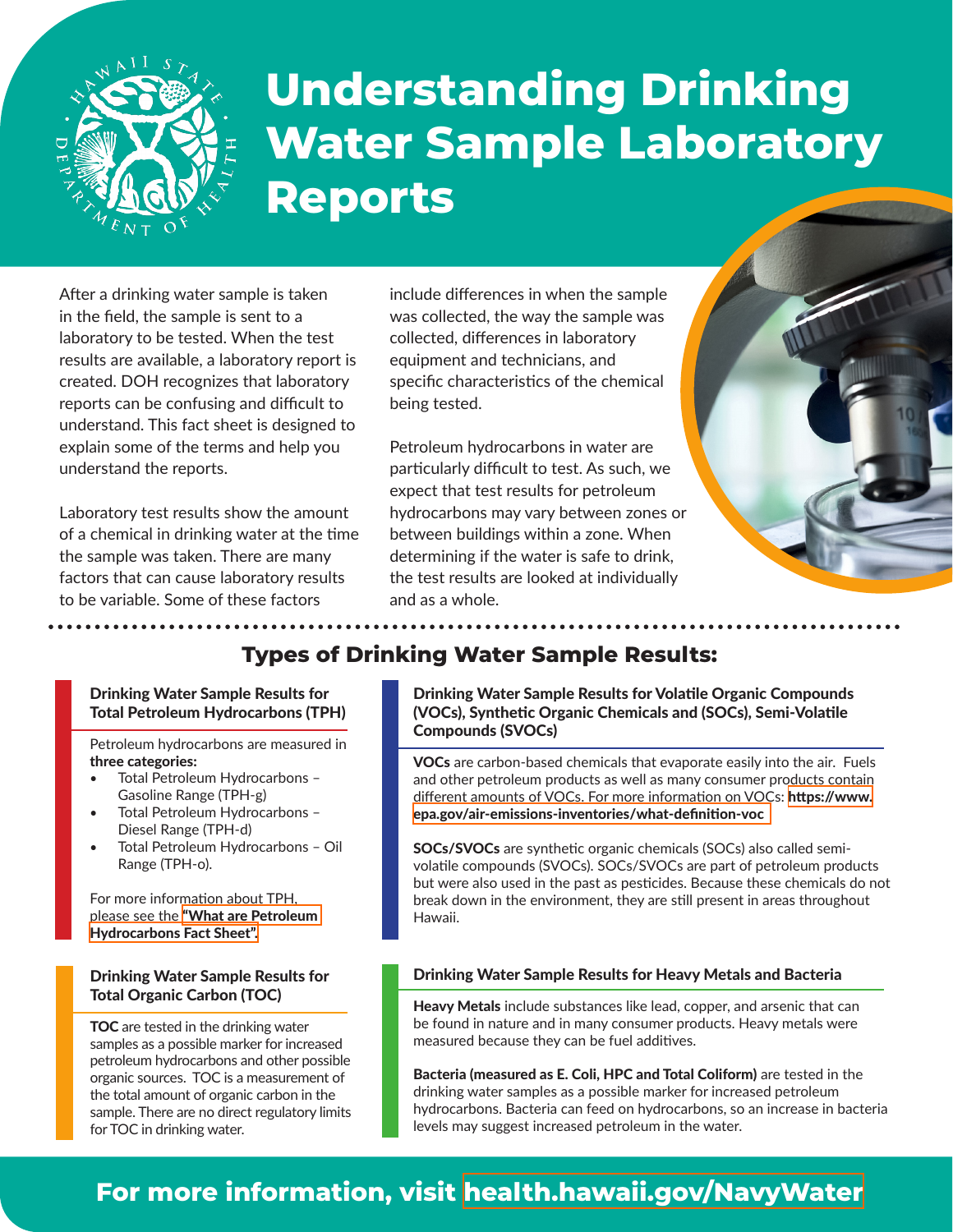

# **Understanding Drinking Water Sample Laboratory Reports**

After a drinking water sample is taken in the field, the sample is sent to a laboratory to be tested. When the test results are available, a laboratory report is created. DOH recognizes that laboratory reports can be confusing and difficult to understand. This fact sheet is designed to explain some of the terms and help you understand the reports.

Laboratory test results show the amount of a chemical in drinking water at the time the sample was taken. There are many factors that can cause laboratory results to be variable. Some of these factors

include differences in when the sample was collected, the way the sample was collected, differences in laboratory equipment and technicians, and specific characteristics of the chemical being tested.

Petroleum hydrocarbons in water are particularly difficult to test. As such, we expect that test results for petroleum hydrocarbons may vary between zones or between buildings within a zone. When determining if the water is safe to drink, the test results are looked at individually and as a whole.



## **Types of Drinking Water Sample Results:**

#### Drinking Water Sample Results for Total Petroleum Hydrocarbons (TPH)

Petroleum hydrocarbons are measured in three categories:

- Total Petroleum Hydrocarbons Gasoline Range (TPH-g)
- Total Petroleum Hydrocarbons Diesel Range (TPH-d)
- Total Petroleum Hydrocarbons Oil Range (TPH-o).

For more information about TPH, please see the ["What are Petroleum](https://health.hawaii.gov/about/files/2021/12/21.12.16_What-Are-Petroleum-Hydrocarbons.pdf)  [Hydrocarbons Fact Sheet".](https://health.hawaii.gov/about/files/2021/12/21.12.16_What-Are-Petroleum-Hydrocarbons.pdf)

### Drinking Water Sample Results for Total Organic Carbon (TOC)

TOC are tested in the drinking water samples as a possible marker for increased petroleum hydrocarbons and other possible organic sources. TOC is a measurement of the total amount of organic carbon in the sample. There are no direct regulatory limits for TOC in drinking water.

Drinking Water Sample Results for Volatile Organic Compounds (VOCs), Synthetic Organic Chemicals and (SOCs), Semi-Volatile Compounds (SVOCs)

VOCs are carbon-based chemicals that evaporate easily into the air. Fuels and other petroleum products as well as many consumer products contain different amounts of VOCs. For more information on VOCs: [https://www.](https://www.epa.gov/air-emissions-inventories/what-definition-voc) [epa.gov/air-emissions-inventories/what-definition-voc](https://www.epa.gov/air-emissions-inventories/what-definition-voc) 

SOCs/SVOCs are synthetic organic chemicals (SOCs) also called semivolatile compounds (SVOCs). SOCs/SVOCs are part of petroleum products but were also used in the past as pesticides. Because these chemicals do not break down in the environment, they are still present in areas throughout Hawaii.

## Drinking Water Sample Results for Heavy Metals and Bacteria

Heavy Metals include substances like lead, copper, and arsenic that can be found in nature and in many consumer products. Heavy metals were measured because they can be fuel additives.

Bacteria (measured as E. Coli, HPC and Total Coliform) are tested in the drinking water samples as a possible marker for increased petroleum hydrocarbons. Bacteria can feed on hydrocarbons, so an increase in bacteria levels may suggest increased petroleum in the water.

# **For more information, visit [health.hawaii.gov/NavyWater](http://health.hawaii.gov/NavyWater)**